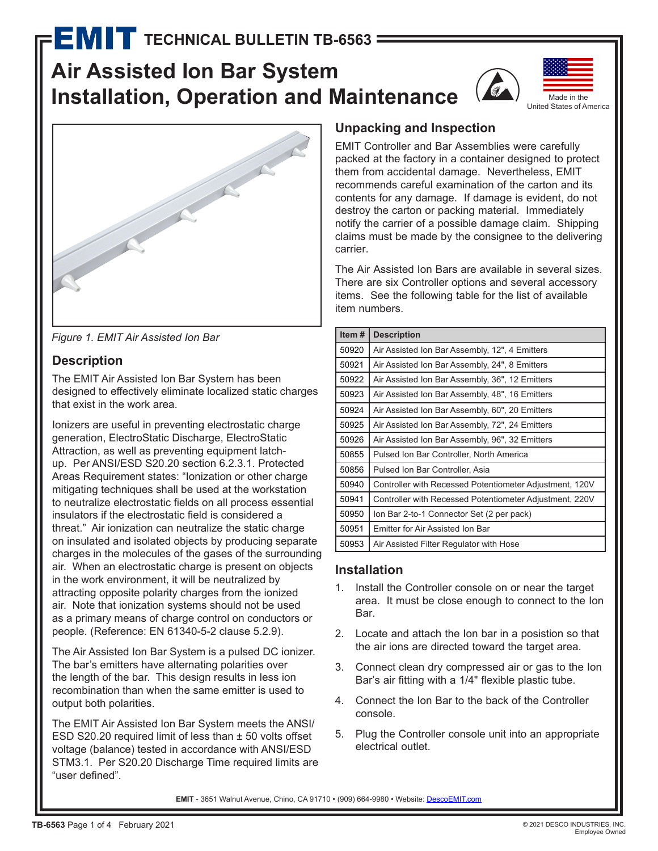# **Air Assisted Ion Bar System Installation, Operation and Maintenance**





**Figure 1. EMIT Air Assisted Ion Bar** 

# **Description**

The EMIT Air Assisted Ion Bar System has been designed to effectively eliminate localized static charges that exist in the work area.

Ionizers are useful in preventing electrostatic charge generation, ElectroStatic Discharge, ElectroStatic Attraction, as well as preventing equipment latchup. Per ANSI/ESD S20.20 section 6.2.3.1. Protected Areas Requirement states: "Ionization or other charge mitigating techniques shall be used at the workstation to neutralize electrostatic fields on all process essential insulators if the electrostatic field is considered a threat." Air ionization can neutralize the static charge on insulated and isolated objects by producing separate charges in the molecules of the gases of the surrounding air. When an electrostatic charge is present on objects in the work environment, it will be neutralized by attracting opposite polarity charges from the ionized air. Note that ionization systems should not be used as a primary means of charge control on conductors or people. (Reference: EN 61340-5-2 clause 5.2.9).

The Air Assisted Ion Bar System is a pulsed DC ionizer. The bar's emitters have alternating polarities over the length of the bar. This design results in less ion recombination than when the same emitter is used to output both polarities.

The EMIT Air Assisted Ion Bar System meets the ANSI/ ESD S20.20 required limit of less than ± 50 volts offset voltage (balance) tested in accordance with ANSI/ESD STM3.1. Per S20.20 Discharge Time required limits are "user defined".

# **Unpacking and Inspection**

EMIT Controller and Bar Assemblies were carefully packed at the factory in a container designed to protect them from accidental damage. Nevertheless, EMIT recommends careful examination of the carton and its contents for any damage. If damage is evident, do not destroy the carton or packing material. Immediately notify the carrier of a possible damage claim. Shipping claims must be made by the consignee to the delivering carrier.

The Air Assisted Ion Bars are available in several sizes. There are six Controller options and several accessory items. See the following table for the list of available item numbers.

| Item $#$ | <b>Description</b>                                      |
|----------|---------------------------------------------------------|
| 50920    | Air Assisted Ion Bar Assembly, 12", 4 Emitters          |
| 50921    | Air Assisted Ion Bar Assembly, 24", 8 Emitters          |
| 50922    | Air Assisted Ion Bar Assembly, 36", 12 Emitters         |
| 50923    | Air Assisted Ion Bar Assembly, 48", 16 Emitters         |
| 50924    | Air Assisted Ion Bar Assembly, 60", 20 Emitters         |
| 50925    | Air Assisted Ion Bar Assembly, 72", 24 Emitters         |
| 50926    | Air Assisted Ion Bar Assembly, 96", 32 Emitters         |
| 50855    | Pulsed Ion Bar Controller, North America                |
| 50856    | Pulsed Ion Bar Controller, Asia                         |
| 50940    | Controller with Recessed Potentiometer Adjustment, 120V |
| 50941    | Controller with Recessed Potentiometer Adjustment, 220V |
| 50950    | Ion Bar 2-to-1 Connector Set (2 per pack)               |
| 50951    | Emitter for Air Assisted Ion Bar                        |
| 50953    | Air Assisted Filter Regulator with Hose                 |

# **Installation**

- 1. Install the Controller console on or near the target area. It must be close enough to connect to the Ion Bar.
- 2. Locate and attach the Ion bar in a posistion so that the air ions are directed toward the target area.
- 3. Connect clean dry compressed air or gas to the Ion Bar's air fitting with a 1/4" flexible plastic tube.
- 4. Connect the Ion Bar to the back of the Controller console.
- 5. Plug the Controller console unit into an appropriate electrical outlet.

EMIT - 3651 Walnut Avenue, Chino, CA 91710 • (909) 664-9980 • Website: [DescoEMIT.com](http://www.descoemit.com)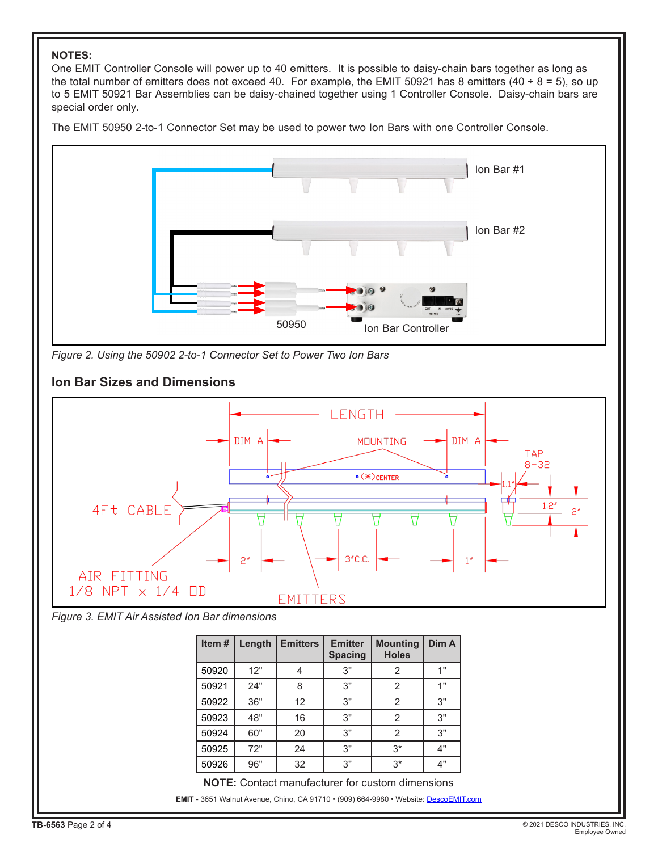#### **NOTES:**

One EMIT Controller Console will power up to 40 emitters. It is possible to daisy-chain bars together as long as the total number of emitters does not exceed 40. For example, the EMIT 50921 has 8 emitters (40  $\div$  8 = 5), so up to 5 EMIT 50921 Bar Assemblies can be daisy-chained together using 1 Controller Console. Daisy-chain bars are special order only.

The EMIT 50950 2-to-1 Connector Set may be used to power two Ion Bars with one Controller Console.



*Figure 2. Using the 50902 2-to-1 Connector Set to Power Two Ion Bars*



#### *Figure 3. EMIT Air Assisted Ion Bar dimensions*

| Item# | Length | <b>Emitters</b> | <b>Emitter</b><br><b>Spacing</b> | <b>Mounting</b><br><b>Holes</b> | Dim A |
|-------|--------|-----------------|----------------------------------|---------------------------------|-------|
| 50920 | 12"    | 4               | 3"                               | 2                               | 1"    |
| 50921 | 24"    | 8               | 3"                               | 2                               | 1"    |
| 50922 | 36"    | 12              | 3"                               | 2                               | 3"    |
| 50923 | 48"    | 16              | 3"                               | 2                               | 3"    |
| 50924 | 60"    | 20              | 3"                               | 2                               | 3"    |
| 50925 | 72"    | 24              | 3"                               | $3*$                            | 4"    |
| 50926 | 96"    | 32              | 3"                               | $3*$                            | 4"    |

**EMIT** - 3651 Walnut Avenue, Chino, CA 91710 • (909) 664-9980 • Website: [DescoEMIT.com](http://www.descoemit.com) **NOTE:** Contact manufacturer for custom dimensions

**Ion Bar Sizes and Dimensions**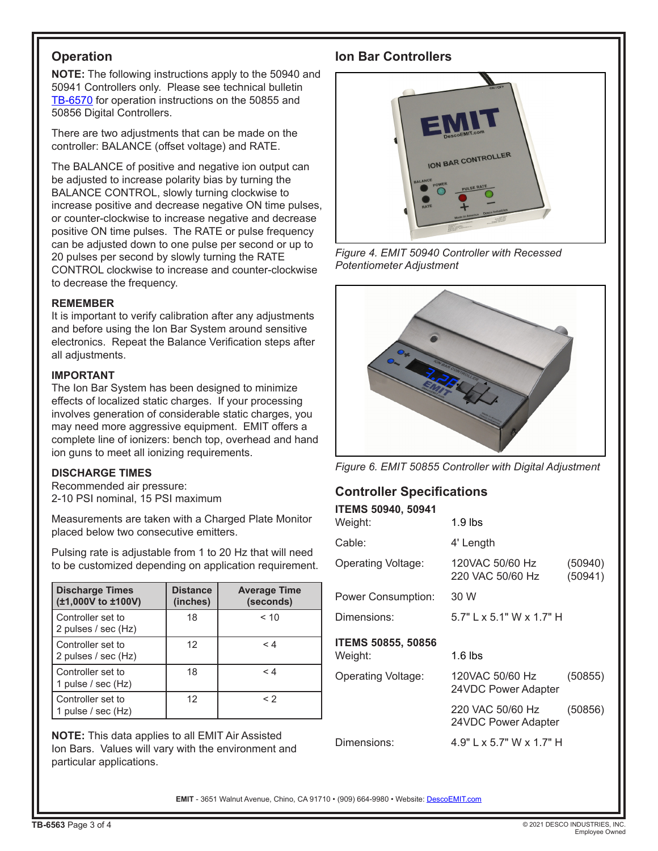# **Operation**

**NOTE:** The following instructions apply to the 50940 and 50941 Controllers only. Please see technical bulletin [TB-6570](http://documents.descoemit.com/PDF/TB-6570.pdf) for operation instructions on the 50855 and 50856 Digital Controllers.

There are two adjustments that can be made on the controller: BALANCE (offset voltage) and RATE.

The BALANCE of positive and negative ion output can be adjusted to increase polarity bias by turning the BALANCE CONTROL, slowly turning clockwise to increase positive and decrease negative ON time pulses, or counter-clockwise to increase negative and decrease positive ON time pulses. The RATE or pulse frequency can be adjusted down to one pulse per second or up to 20 pulses per second by slowly turning the RATE CONTROL clockwise to increase and counter-clockwise to decrease the frequency.

#### **REMEMBER**

It is important to verify calibration after any adjustments and before using the Ion Bar System around sensitive electronics. Repeat the Balance Verification steps after all adjustments.

#### **IMPORTANT**

The Ion Bar System has been designed to minimize effects of localized static charges. If your processing involves generation of considerable static charges, you may need more aggressive equipment. EMIT offers a complete line of ionizers: bench top, overhead and hand ion guns to meet all ionizing requirements.

#### **DISCHARGE TIMES**

Recommended air pressure: 2-10 PSI nominal, 15 PSI maximum

Measurements are taken with a Charged Plate Monitor placed below two consecutive emitters.

Pulsing rate is adjustable from 1 to 20 Hz that will need to be customized depending on application requirement.

| <b>Discharge Times</b><br>(±1,000V to ±100V) | <b>Distance</b><br>(inches) | <b>Average Time</b><br>(seconds) |
|----------------------------------------------|-----------------------------|----------------------------------|
| Controller set to<br>2 pulses / sec (Hz)     | 18                          | < 10                             |
| Controller set to<br>2 pulses / sec (Hz)     | 12                          | < 4                              |
| Controller set to<br>1 pulse / sec (Hz)      | 18                          | < 4                              |
| Controller set to<br>pulse / sec (Hz)        | 12                          | $\leq$ 2                         |

**NOTE:** This data applies to all EMIT Air Assisted Ion Bars. Values will vary with the environment and particular applications.

### **Ion Bar Controllers**



*Figure 4. EMIT 50940 Controller with Recessed Potentiometer Adjustment*



*Figure 6. EMIT 50855 Controller with Digital Adjustment*

# **Controller Specifications**

| <b>ITEMS 50940, 50941</b> |                                         |                    |  |
|---------------------------|-----------------------------------------|--------------------|--|
| Weight:                   | $1.9$ lbs                               |                    |  |
| Cable:                    | 4' Length                               |                    |  |
| Operating Voltage:        | 120VAC 50/60 Hz<br>220 VAC 50/60 Hz     | (50940)<br>(50941) |  |
| Power Consumption:        | 30 W                                    |                    |  |
| Dimensions:               | $5.7"$ L x 5.1" W x 1.7" H              |                    |  |
|                           |                                         |                    |  |
| <b>ITEMS 50855, 50856</b> |                                         |                    |  |
| Weight:                   | $1.6$ lbs                               |                    |  |
| Operating Voltage:        | 120VAC 50/60 Hz<br>24VDC Power Adapter  | (50855)            |  |
|                           | 220 VAC 50/60 Hz<br>24VDC Power Adapter | (50856)            |  |

EMIT - 3651 Walnut Avenue, Chino, CA 91710 • (909) 664-9980 • Website: [DescoEMIT.com](http://www.descoemit.com)